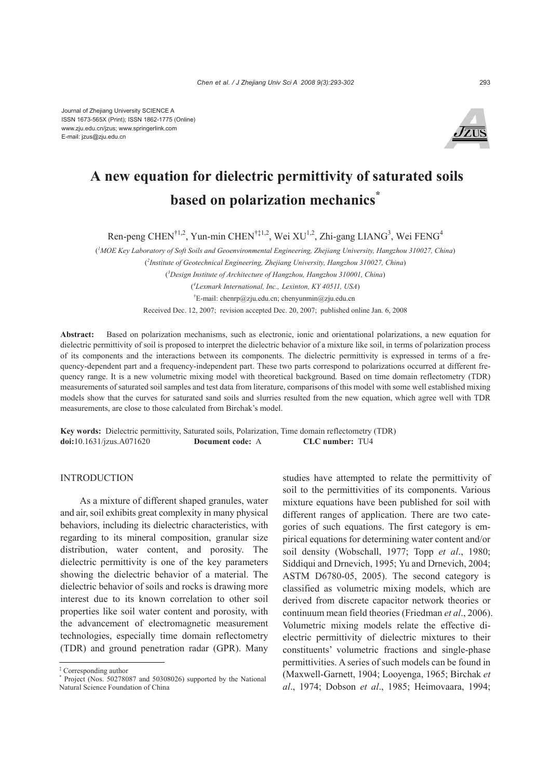

# **A new equation for dielectric permittivity of saturated soils based on polarization mechanics\***

Ren-peng CHEN<sup>†1,2</sup>, Yun-min CHEN<sup>†‡1,2</sup>, Wei XU<sup>1,2</sup>, Zhi-gang LIANG<sup>3</sup>, Wei FENG<sup>4</sup>

( *1 MOE Key Laboratory of Soft Soils and Geoenvironmental Engineering, Zhejiang University, Hangzhou 310027, China*) ( *2 Institute of Geotechnical Engineering, Zhejiang University, Hangzhou 310027, China*) ( *3 Design Institute of Architecture of Hangzhou, Hangzhou 310001, China*) ( *4 Lexmark International, Inc., Lexinton, KY 40511, USA*) † E-mail: chenrp@zju.edu.cn; chenyunmin@zju.edu.cn Received Dec. 12, 2007; revision accepted Dec. 20, 2007; published online Jan. 6, 2008

**Abstract:** Based on polarization mechanisms, such as electronic, ionic and orientational polarizations, a new equation for dielectric permittivity of soil is proposed to interpret the dielectric behavior of a mixture like soil, in terms of polarization process of its components and the interactions between its components. The dielectric permittivity is expressed in terms of a frequency-dependent part and a frequency-independent part. These two parts correspond to polarizations occurred at different frequency range. It is a new volumetric mixing model with theoretical background. Based on time domain reflectometry (TDR) measurements of saturated soil samples and test data from literature, comparisons of this model with some well established mixing models show that the curves for saturated sand soils and slurries resulted from the new equation, which agree well with TDR measurements, are close to those calculated from Birchak's model.

**Key words:** Dielectric permittivity, Saturated soils, Polarization, Time domain reflectometry (TDR) **doi:**10.1631/jzus.A071620 **Document code:** A **CLC number:** TU4

#### **INTRODUCTION**

As a mixture of different shaped granules, water and air, soil exhibits great complexity in many physical behaviors, including its dielectric characteristics, with regarding to its mineral composition, granular size distribution, water content, and porosity. The dielectric permittivity is one of the key parameters showing the dielectric behavior of a material. The dielectric behavior of soils and rocks is drawing more interest due to its known correlation to other soil properties like soil water content and porosity, with the advancement of electromagnetic measurement technologies, especially time domain reflectometry (TDR) and ground penetration radar (GPR). Many

studies have attempted to relate the permittivity of soil to the permittivities of its components. Various mixture equations have been published for soil with different ranges of application. There are two categories of such equations. The first category is empirical equations for determining water content and/or soil density (Wobschall, 1977; Topp *et al*., 1980; Siddiqui and Drnevich, 1995; Yu and Drnevich, 2004; ASTM D6780-05, 2005). The second category is classified as volumetric mixing models, which are derived from discrete capacitor network theories or continuum mean field theories (Friedman *et al*., 2006). Volumetric mixing models relate the effective dielectric permittivity of dielectric mixtures to their constituents' volumetric fractions and single-phase permittivities. A series of such models can be found in (Maxwell-Garnett, 1904; Looyenga, 1965; Birchak *et al*., 1974; Dobson *et al*., 1985; Heimovaara, 1994;

<sup>&</sup>lt;sup>‡</sup> Corresponding author<br><sup>\*</sup> Project (Nes. 502780

Project (Nos. 50278087 and 50308026) supported by the National Natural Science Foundation of China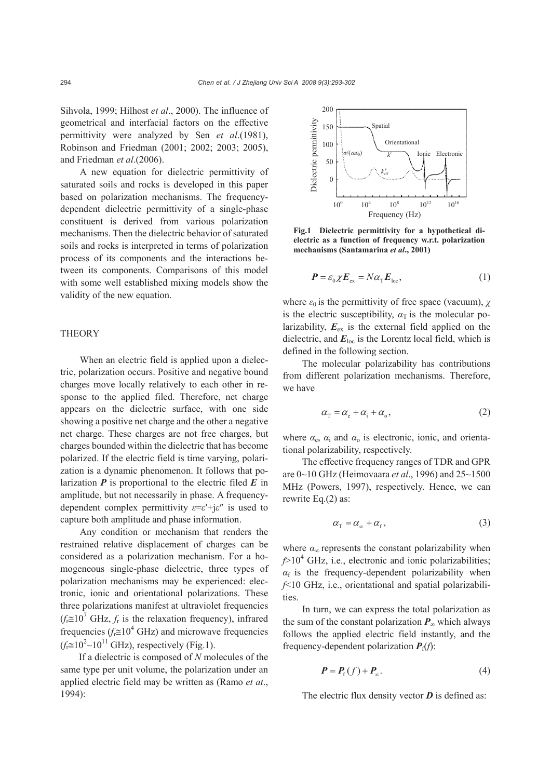Sihvola, 1999; Hilhost *et al*., 2000). The influence of geometrical and interfacial factors on the effective permittivity were analyzed by Sen *et al*.(1981), Robinson and Friedman (2001; 2002; 2003; 2005), and Friedman *et al*.(2006).

A new equation for dielectric permittivity of saturated soils and rocks is developed in this paper based on polarization mechanisms. The frequencydependent dielectric permittivity of a single-phase constituent is derived from various polarization mechanisms. Then the dielectric behavior of saturated soils and rocks is interpreted in terms of polarization process of its components and the interactions between its components. Comparisons of this model with some well established mixing models show the validity of the new equation.

## **THEORY**

When an electric field is applied upon a dielectric, polarization occurs. Positive and negative bound charges move locally relatively to each other in response to the applied filed. Therefore, net charge appears on the dielectric surface, with one side showing a positive net charge and the other a negative net charge. These charges are not free charges, but charges bounded within the dielectric that has become polarized. If the electric field is time varying, polarization is a dynamic phenomenon. It follows that polarization *P* is proportional to the electric filed *E* in amplitude, but not necessarily in phase. A frequencydependent complex permittivity *ε*=*ε*′+j*ε*″ is used to capture both amplitude and phase information.

Any condition or mechanism that renders the restrained relative displacement of charges can be considered as a polarization mechanism. For a homogeneous single-phase dielectric, three types of polarization mechanisms may be experienced: electronic, ionic and orientational polarizations. These three polarizations manifest at ultraviolet frequencies  $(f_i \approx 10^7 \text{ GHz}, f_r \text{ is the relaxation frequency})$ , infrared frequencies  $(f_f \approx 10^4 \text{ GHz})$  and microwave frequencies  $(f<sub>f</sub> \cong 10<sup>2</sup> \sim 10<sup>11</sup>$  GHz), respectively (Fig.1).

If a dielectric is composed of *N* molecules of the same type per unit volume, the polarization under an applied electric field may be written as (Ramo *et at*., 1994):



**Fig.1 Dielectric permittivity for a hypothetical dielectric as a function of frequency w.r.t. polarization mechanisms (Santamarina** *et al***., 2001)** 

$$
\boldsymbol{P} = \varepsilon_0 \chi \boldsymbol{E}_{\text{ex}} = N \alpha_{\text{T}} \boldsymbol{E}_{\text{loc}},
$$
 (1)

where  $\varepsilon_0$  is the permittivity of free space (vacuum),  $\chi$ is the electric susceptibility,  $\alpha_{\text{T}}$  is the molecular polarizability,  $E_{\rm ex}$  is the external field applied on the dielectric, and  $E_{\text{loc}}$  is the Lorentz local field, which is defined in the following section.

The molecular polarizability has contributions from different polarization mechanisms. Therefore, we have

$$
\alpha_{\rm T} = \alpha_{\rm e} + \alpha_{\rm i} + \alpha_{\rm o},\tag{2}
$$

where  $\alpha_e$ ,  $\alpha_i$  and  $\alpha_o$  is electronic, ionic, and orientational polarizability, respectively.

The effective frequency ranges of TDR and GPR are 0~10 GHz (Heimovaara *et al*., 1996) and 25~1500 MHz (Powers, 1997), respectively. Hence, we can rewrite Eq.(2) as:

$$
\alpha_{\rm T} = \alpha_{\rm \scriptscriptstyle \infty} + \alpha_{\rm f}, \tag{3}
$$

where  $\alpha_{\infty}$  represents the constant polarizability when  $f$ >10<sup>4</sup> GHz, i.e., electronic and ionic polarizabilities;  $\alpha_f$  is the frequency-dependent polarizability when *f*<10 GHz, i.e., orientational and spatial polarizabilities.

In turn, we can express the total polarization as the sum of the constant polarization  $P_{\infty}$  which always follows the applied electric field instantly, and the frequency-dependent polarization  $P_f(f)$ :

$$
\boldsymbol{P} = \boldsymbol{P}_{\mathrm{f}}(f) + \boldsymbol{P}_{\infty}.\tag{4}
$$

The electric flux density vector *D* is defined as: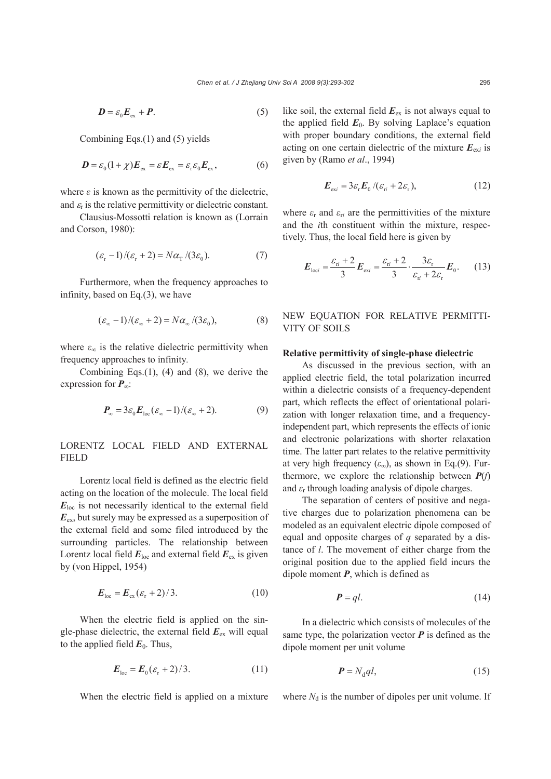$$
D = \varepsilon_0 E_{\text{ex}} + P. \tag{5}
$$

Combining Eqs.(1) and (5) yields

$$
\boldsymbol{D} = \varepsilon_0 (1 + \chi) \boldsymbol{E}_{\text{ex}} = \varepsilon \boldsymbol{E}_{\text{ex}} = \varepsilon_r \varepsilon_0 \boldsymbol{E}_{\text{ex}},
$$
(6)

where  $\varepsilon$  is known as the permittivity of the dielectric, and  $\varepsilon_r$  is the relative permittivity or dielectric constant.

Clausius-Mossotti relation is known as (Lorrain and Corson, 1980):

$$
(\varepsilon_{\rm r}-1)/(\varepsilon_{\rm r}+2)=N\alpha_{\rm T}/(3\varepsilon_0). \hspace{1.5cm} (7)
$$

Furthermore, when the frequency approaches to infinity, based on Eq.(3), we have

$$
(\varepsilon_{\infty} - 1) / (\varepsilon_{\infty} + 2) = N \alpha_{\infty} / (3\varepsilon_0), \tag{8}
$$

where  $\varepsilon_{\infty}$  is the relative dielectric permittivity when frequency approaches to infinity*.*

Combining Eqs.(1), (4) and (8), we derive the expression for *P*∞:

$$
\boldsymbol{P}_{\infty} = 3\varepsilon_0 \boldsymbol{E}_{\text{loc}} (\varepsilon_{\infty} - 1) / (\varepsilon_{\infty} + 2). \tag{9}
$$

LORENTZ LOCAL FIELD AND EXTERNAL FIELD

Lorentz local field is defined as the electric field acting on the location of the molecule. The local field *E*loc is not necessarily identical to the external field *E*ex, but surely may be expressed as a superposition of the external field and some filed introduced by the surrounding particles. The relationship between Lorentz local field  $E_{\text{loc}}$  and external field  $E_{\text{ex}}$  is given by (von Hippel, 1954)

$$
\boldsymbol{E}_{\text{loc}} = \boldsymbol{E}_{\text{ex}} (\varepsilon_{\text{r}} + 2) / 3. \tag{10}
$$

When the electric field is applied on the single-phase dielectric, the external field  $E_{ex}$  will equal to the applied field  $E_0$ . Thus,

$$
\boldsymbol{E}_{\text{loc}} = \boldsymbol{E}_0 (\varepsilon_r + 2)/3. \tag{11}
$$

When the electric field is applied on a mixture

like soil, the external field  $E_{ex}$  is not always equal to the applied field  $E_0$ . By solving Laplace's equation with proper boundary conditions, the external field acting on one certain dielectric of the mixture  $E_{\text{exi}}$  is given by (Ramo *et al*., 1994)

$$
\boldsymbol{E}_{\text{exi}} = 3\varepsilon_{\text{r}} \boldsymbol{E}_0 / (\varepsilon_{\text{ri}} + 2\varepsilon_{\text{r}}), \qquad (12)
$$

where  $\varepsilon_r$  and  $\varepsilon_{ri}$  are the permittivities of the mixture and the *i*th constituent within the mixture, respectively. Thus, the local field here is given by

$$
E_{\text{loc}i} = \frac{\varepsilon_{ri} + 2}{3} E_{\text{ex}i} = \frac{\varepsilon_{ri} + 2}{3} \cdot \frac{3\varepsilon_{\text{r}}}{\varepsilon_{ri} + 2\varepsilon_{\text{r}}} E_{0}. \tag{13}
$$

# NEW EQUATION FOR RELATIVE PERMITTI-VITY OF SOILS

#### **Relative permittivity of single-phase dielectric**

As discussed in the previous section, with an applied electric field, the total polarization incurred within a dielectric consists of a frequency-dependent part, which reflects the effect of orientational polarization with longer relaxation time, and a frequencyindependent part, which represents the effects of ionic and electronic polarizations with shorter relaxation time. The latter part relates to the relative permittivity at very high frequency  $(\varepsilon_{\infty})$ , as shown in Eq.(9). Furthermore, we explore the relationship between  $P(f)$ and  $\varepsilon_r$  through loading analysis of dipole charges.

The separation of centers of positive and negative charges due to polarization phenomena can be modeled as an equivalent electric dipole composed of equal and opposite charges of *q* separated by a distance of *l*. The movement of either charge from the original position due to the applied field incurs the dipole moment *P*, which is defined as

$$
P = ql. \tag{14}
$$

In a dielectric which consists of molecules of the same type, the polarization vector  $P$  is defined as the dipole moment per unit volume

$$
\boldsymbol{P} = N_{\rm d} q l,\tag{15}
$$

where  $N_d$  is the number of dipoles per unit volume. If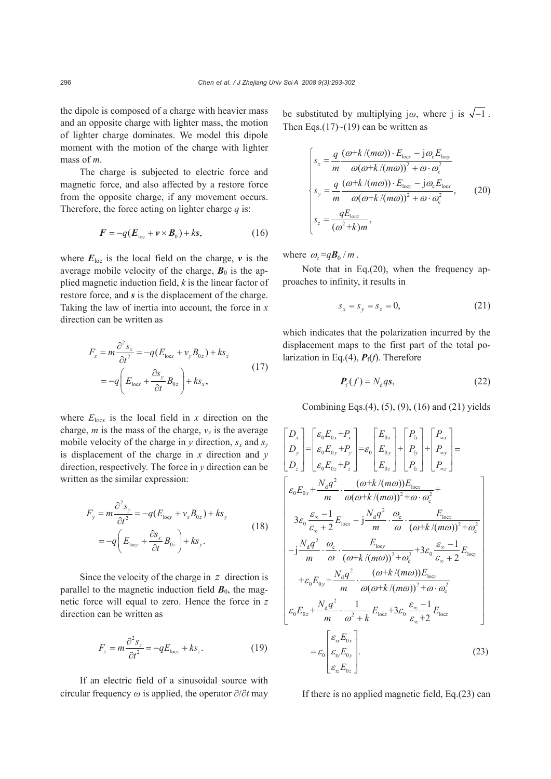the dipole is composed of a charge with heavier mass and an opposite charge with lighter mass, the motion of lighter charge dominates. We model this dipole moment with the motion of the charge with lighter mass of *m*.

The charge is subjected to electric force and magnetic force, and also affected by a restore force from the opposite charge, if any movement occurs. Therefore, the force acting on lighter charge *q* is:

$$
\boldsymbol{F} = -q(\boldsymbol{E}_{\text{loc}} + \boldsymbol{v} \times \boldsymbol{B}_0) + k\mathbf{s},\tag{16}
$$

where  $E_{\text{loc}}$  is the local field on the charge,  $\nu$  is the average mobile velocity of the charge,  $\mathbf{B}_0$  is the applied magnetic induction field, *k* is the linear factor of restore force, and *s* is the displacement of the charge. Taking the law of inertia into account, the force in *x* direction can be written as

$$
F_x = m \frac{\partial^2 s_x}{\partial t^2} = -q (E_{\text{locx}} + v_y B_{0z}) + k s_x
$$
  
= 
$$
-q \left( E_{\text{locx}} + \frac{\partial s_y}{\partial t} B_{0z} \right) + k s_x,
$$
 (17)

where  $E_{\text{loc}x}$  is the local field in *x* direction on the charge, *m* is the mass of the charge,  $v<sub>v</sub>$  is the average mobile velocity of the charge in  $y$  direction,  $s_x$  and  $s_y$ is displacement of the charge in *x* direction and *y* direction, respectively. The force in *y* direction can be written as the similar expression:

$$
F_y = m \frac{\partial^2 s_y}{\partial t^2} = -q (E_{\text{loop}} + v_x B_{0z}) + k s_y
$$
  
= 
$$
-q \left( E_{\text{loop}} + \frac{\partial s_x}{\partial t} B_{0z} \right) + k s_y.
$$
 (18)

Since the velocity of the charge in *z* direction is parallel to the magnetic induction field  $\mathbf{B}_0$ , the magnetic force will equal to zero. Hence the force in *z* direction can be written as

$$
F_z = m \frac{\partial^2 s_z}{\partial t^2} = -qE_{\text{loc}z} + k s_z. \tag{19}
$$

If an electric field of a sinusoidal source with circular frequency *ω* is applied, the operator ∂/∂*t* may be substituted by multiplying j $\omega$ , where j is  $\sqrt{-1}$ . Then Eqs.(17) $\sim$ (19) can be written as

$$
\begin{cases}\ns_x = \frac{q}{m} \frac{(\omega + k/(m\omega)) \cdot E_{\text{locx}} - j\omega_c E_{\text{locy}}}{\omega(\omega + k/(m\omega))^2 + \omega \cdot \omega_c^2} \\
s_y = \frac{q}{m} \frac{(\omega + k/(m\omega)) \cdot E_{\text{locy}} - j\omega_c E_{\text{locx}}}{\omega(\omega + k/(m\omega))^2 + \omega \cdot \omega_c^2}, \quad (20) \\
s_z = \frac{qE_{\text{locz}}}{(\omega^2 + k)m}, \n\end{cases}
$$

where  $\omega_c = qB_0 / m$ .

Note that in Eq.(20), when the frequency approaches to infinity, it results in

$$
s_x = s_y = s_z = 0,
$$
 (21)

which indicates that the polarization incurred by the displacement maps to the first part of the total polarization in Eq.(4),  $P_f(f)$ . Therefore

$$
P_{\rm f}(f) = N_{\rm d}qs,\tag{22}
$$

Combining Eqs.(4), (5), (9), (16) and (21) yields

$$
\begin{bmatrix}\nD_x \\
D_y \\
D_z\n\end{bmatrix} = \begin{bmatrix}\n\varepsilon_0 E_{0x} + P_x \\
\varepsilon_0 E_{0y} + P_y \\
\varepsilon_0 E_{0z} + P_z\n\end{bmatrix} = \varepsilon_0 \begin{bmatrix}\nE_{0x} \\
E_{0y} \\
E_{0z}\n\end{bmatrix} + \begin{bmatrix}\nP_{tx} \\
P_{ty} \\
P_{zy}\n\end{bmatrix} + \begin{bmatrix}\nP_{\alpha x} \\
P_{\alpha y} \\
P_{zz}\n\end{bmatrix} = \begin{bmatrix}\n\varepsilon_0 E_{0x} + \frac{N_d q^2}{m} \cdot \frac{(\omega + k/(m\omega))E_{\text{locx}}}{\omega(\omega + k/(m\omega))^2 + \omega \cdot \omega_c^2} + 3\varepsilon_0 \frac{\varepsilon_{\infty} - 1}{\omega} E_{\text{locx}} \\
-\frac{1}{m} \cdot \frac{N_d q^2}{\omega} \cdot \frac{\omega_c}{(\omega + k/(m\omega))^2 + \omega_c^2} + \frac{E_{\text{locx}}}{\omega} \cdot \frac{E_{\text{locx}}}{(\omega + k/(m\omega))^2 + \omega_c^2} \\
+ \varepsilon_0 E_{0y} + \frac{N_d q^2}{m} \cdot \frac{(\omega + k/(m\omega))E_{\text{locy}}}{\omega(\omega + k/(m\omega))^2 + \omega \cdot \omega_c^2} \\
\varepsilon_0 E_{0z} + \frac{N_d q^2}{m} \cdot \frac{1}{\omega^2 + k} E_{\text{locz}} + 3\varepsilon_0 \frac{\varepsilon_{\infty} - 1}{\varepsilon_{\infty} + 2} E_{\text{locz}} \\
= \varepsilon_0 \begin{bmatrix}\n\varepsilon_{\rm rx} E_{0x} \\
\varepsilon_{\rm y} E_{0y} \\
\varepsilon_{\rm rz} E_{0z}\n\end{bmatrix} . \tag{23}
$$

If there is no applied magnetic field, Eq.(23) can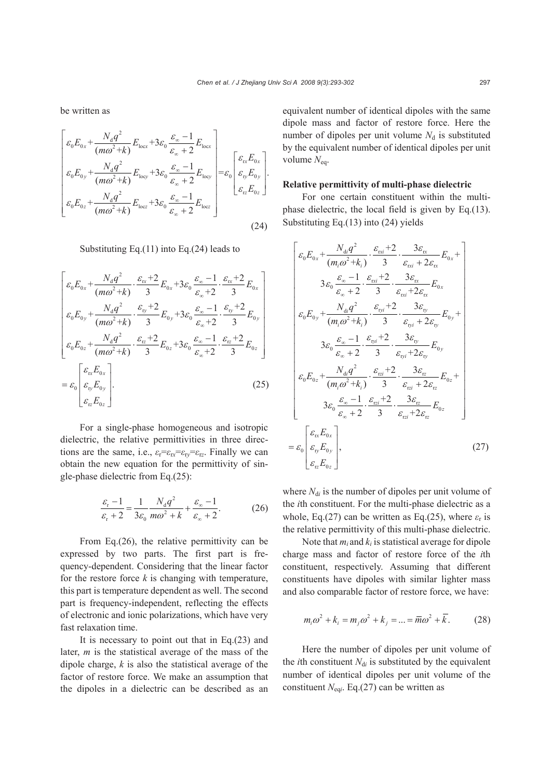be written as

$$
\begin{bmatrix}\n\varepsilon_0 E_{0x} + \frac{N_d q^2}{(m\omega^2 + k)} E_{\text{locx}} + 3\varepsilon_0 \frac{\varepsilon_{\infty} - 1}{\varepsilon_{\infty} + 2} E_{\text{locx}} \\
\varepsilon_0 E_{0y} + \frac{N_d q^2}{(m\omega^2 + k)} E_{\text{locy}} + 3\varepsilon_0 \frac{\varepsilon_{\infty} - 1}{\varepsilon_{\infty} + 2} E_{\text{locy}} \\
\varepsilon_0 E_{0z} + \frac{N_d q^2}{(m\omega^2 + k)} E_{\text{locz}} + 3\varepsilon_0 \frac{\varepsilon_{\infty} - 1}{\varepsilon_{\infty} + 2} E_{\text{locz}}\n\end{bmatrix} = \varepsilon_0 \begin{bmatrix}\n\varepsilon_{\text{rx}} E_{0x} \\
\varepsilon_{\text{ry}} E_{0y} \\
\varepsilon_{\text{rz}} E_{0z} \\
\varepsilon_{\text{rz}} E_{0z}\n\end{bmatrix}.
$$
\n(24)

Substituting Eq.(11) into Eq.(24) leads to

$$
\begin{bmatrix}\n\varepsilon_{0}E_{0x} + \frac{N_{d}q^{2}}{(m\omega^{2}+k)} \cdot \frac{\varepsilon_{xx}+2}{3} E_{0x} + 3\varepsilon_{0} \frac{\varepsilon_{\infty}-1}{\varepsilon_{\infty}+2} \cdot \frac{\varepsilon_{xx}+2}{3} E_{0x} \\
\varepsilon_{0}E_{0y} + \frac{N_{d}q^{2}}{(m\omega^{2}+k)} \cdot \frac{\varepsilon_{yy}+2}{3} E_{0y} + 3\varepsilon_{0} \frac{\varepsilon_{\infty}-1}{\varepsilon_{\infty}+2} \cdot \frac{\varepsilon_{y}+2}{3} E_{0y} \\
\varepsilon_{0}E_{0z} + \frac{N_{d}q^{2}}{(m\omega^{2}+k)} \cdot \frac{\varepsilon_{zz}+2}{3} E_{0z} + 3\varepsilon_{0} \frac{\varepsilon_{\infty}-1}{\varepsilon_{\infty}+2} \cdot \frac{\varepsilon_{zz}+2}{3} E_{0z} \\
\varepsilon_{0}E_{0z} + \frac{\varepsilon_{0}E_{0x}}{\varepsilon_{0}E_{0y}}\n\end{bmatrix}
$$
\n
$$
= \varepsilon_{0} \begin{bmatrix}\n\varepsilon_{\text{rx}}E_{0x} \\
\varepsilon_{\text{rx}}E_{0z}\n\end{bmatrix}.
$$
\n(25)

For a single-phase homogeneous and isotropic dielectric, the relative permittivities in three directions are the same, i.e.,  $\varepsilon_r = \varepsilon_{rx} = \varepsilon_{r} = \varepsilon_{rz}$ . Finally we can obtain the new equation for the permittivity of single-phase dielectric from Eq.(25):

$$
\frac{\varepsilon_{\rm r} - 1}{\varepsilon_{\rm r} + 2} = \frac{1}{3\varepsilon_{\rm 0}} \frac{N_{\rm d}q^2}{m\omega^2 + k} + \frac{\varepsilon_{\infty} - 1}{\varepsilon_{\infty} + 2}.
$$
 (26)

From Eq.(26), the relative permittivity can be expressed by two parts. The first part is frequency-dependent. Considering that the linear factor for the restore force  $k$  is changing with temperature, this part is temperature dependent as well. The second part is frequency-independent, reflecting the effects of electronic and ionic polarizations, which have very fast relaxation time.

It is necessary to point out that in Eq.(23) and later, *m* is the statistical average of the mass of the dipole charge, *k* is also the statistical average of the factor of restore force. We make an assumption that the dipoles in a dielectric can be described as an

equivalent number of identical dipoles with the same dipole mass and factor of restore force. Here the number of dipoles per unit volume  $N_d$  is substituted by the equivalent number of identical dipoles per unit volume *N*eq.

#### **Relative permittivity of multi-phase dielectric**

For one certain constituent within the multiphase dielectric, the local field is given by Eq.(13). Substituting Eq.(13) into (24) yields

$$
\begin{bmatrix}\n\varepsilon_{0}E_{0x} + \frac{N_{di}q^{2}}{(m_{i}\omega^{2} + k_{i})} \cdot \frac{\varepsilon_{rvi} + 2}{3} \cdot \frac{3\varepsilon_{rx}}{\varepsilon_{rvi} + 2\varepsilon_{rx}} E_{0x} + \\
\frac{3\varepsilon_{0} \frac{\varepsilon_{\infty} - 1}{\varepsilon_{\infty} + 2} \cdot \frac{\varepsilon_{rvi} + 2}{3} \cdot \frac{3\varepsilon_{rx}}{\varepsilon_{rvi} + 2\varepsilon_{rx}} E_{0x} \\
\varepsilon_{0}E_{0y} + \frac{N_{di}q^{2}}{(m_{i}\omega^{2} + k_{i})} \cdot \frac{\varepsilon_{rvi} + 2}{3} \cdot \frac{3\varepsilon_{ry}}{\varepsilon_{rvi} + 2\varepsilon_{ry}} E_{0y} + \\
\frac{3\varepsilon_{0} \frac{\varepsilon_{\infty} - 1}{\varepsilon_{\infty} + 2} \cdot \frac{\varepsilon_{rvi} + 2}{3} \cdot \frac{3\varepsilon_{ry}}{\varepsilon_{rvi} + 2\varepsilon_{ry}} E_{0y} \\
\varepsilon_{0}E_{0z} + \frac{N_{di}q^{2}}{(m_{i}\omega^{2} + k_{i})} \cdot \frac{\varepsilon_{rzi} + 2}{3} \cdot \frac{3\varepsilon_{rz}}{\varepsilon_{rzi} + 2\varepsilon_{rz}} E_{0z} + \\
\frac{3\varepsilon_{0} \frac{\varepsilon_{\infty} - 1}{\varepsilon_{\infty} + 2} \cdot \frac{\varepsilon_{rzi} + 2}{3} \cdot \frac{3\varepsilon_{rz}}{\varepsilon_{rzi} + 2\varepsilon_{rz}} E_{0z} \\
\varepsilon_{0} \begin{bmatrix}\n\varepsilon_{rx}E_{0x} \\
\varepsilon_{ry}E_{0y} \\
\varepsilon_{rz}E_{0z}\n\end{bmatrix},\n\end{bmatrix}
$$
\n(27)

where  $N_{di}$  is the number of dipoles per unit volume of the *i*th constituent. For the multi-phase dielectric as a whole, Eq.(27) can be written as Eq.(25), where  $\varepsilon_{r}$  is the relative permittivity of this multi-phase dielectric.

Note that  $m_i$  and  $k_i$  is statistical average for dipole charge mass and factor of restore force of the *i*th constituent, respectively. Assuming that different constituents have dipoles with similar lighter mass and also comparable factor of restore force, we have:

$$
m_i \omega^2 + k_i = m_j \omega^2 + k_j = \dots = \overline{m} \omega^2 + \overline{k}.
$$
 (28)

Here the number of dipoles per unit volume of the *i*th constituent  $N_{di}$  is substituted by the equivalent number of identical dipoles per unit volume of the constituent *N*eq*i*. Eq.(27) can be written as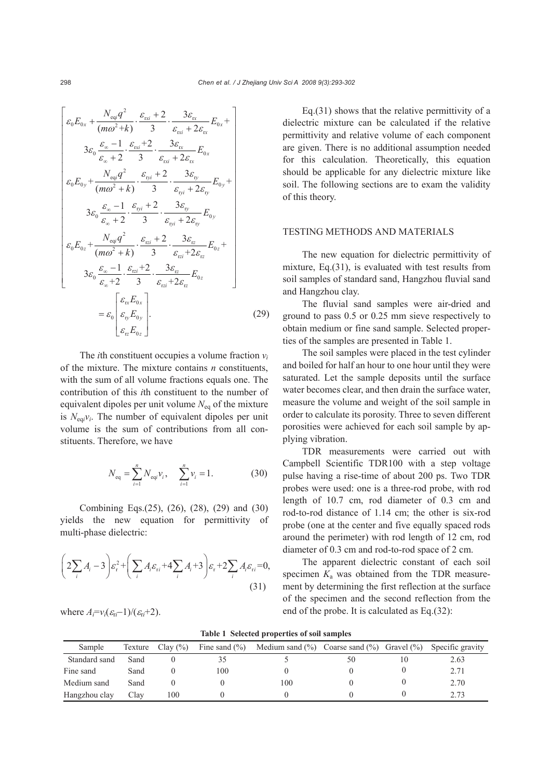$$
\begin{bmatrix}\n\varepsilon_{0}E_{0x} + \frac{N_{eqi}q^{2}}{(m\omega^{2}+k)} \cdot \frac{\varepsilon_{xx}+2}{3} \cdot \frac{3\varepsilon_{xx}}{\varepsilon_{xx}+2\varepsilon_{xx}} E_{0x} + \\
\frac{3\varepsilon_{0} \frac{\varepsilon_{\infty}-1}{\varepsilon_{\infty}+2} \cdot \frac{\varepsilon_{xx}+2}{3} \cdot \frac{3\varepsilon_{xx}}{\varepsilon_{xx}+2\varepsilon_{xx}} E_{0x} \\
\varepsilon_{0}E_{0y} + \frac{N_{eqi}q^{2}}{(m\omega^{2}+k)} \cdot \frac{\varepsilon_{yy}+2}{3} \cdot \frac{3\varepsilon_{yy}}{\varepsilon_{yy}+2\varepsilon_{yy}} E_{0y} + \\
\frac{3\varepsilon_{0} \frac{\varepsilon_{\infty}-1}{\varepsilon_{\infty}+2} \cdot \frac{\varepsilon_{yy}+2}{3} \cdot \frac{3\varepsilon_{yy}}{\varepsilon_{yy}+2\varepsilon_{yy}} E_{0y} \\
\varepsilon_{0}E_{0z} + \frac{N_{eqi}q^{2}}{(m\omega^{2}+k)} \cdot \frac{\varepsilon_{\text{rzi}}+2}{3} \cdot \frac{3\varepsilon_{\text{rz}}}{\varepsilon_{\text{rzi}}+2\varepsilon_{\text{rz}}} E_{0z} + \\
\frac{3\varepsilon_{0} \frac{\varepsilon_{\infty}-1}{\varepsilon_{\infty}+2} \cdot \frac{\varepsilon_{\text{rzi}}+2}{3} \cdot \frac{3\varepsilon_{\text{rz}}}{\varepsilon_{\text{rzi}}+2\varepsilon_{\text{rz}}} E_{0z} \\
\varepsilon_{0} \begin{bmatrix}\n\varepsilon_{\text{r}}E_{0x} \\
\varepsilon_{\text{p}}E_{0y} \\
\varepsilon_{\text{p}}E_{0z}\n\end{bmatrix} .\n\end{bmatrix} (29)
$$

The *i*th constituent occupies a volume fraction *vi* of the mixture. The mixture contains *n* constituents, with the sum of all volume fractions equals one. The contribution of this *i*th constituent to the number of equivalent dipoles per unit volume  $N_{eq}$  of the mixture is  $N_{\text{eq}}$ *i* $\gamma$ *i*. The number of equivalent dipoles per unit volume is the sum of contributions from all constituents. Therefore, we have

$$
N_{\text{eq}} = \sum_{i=1}^{n} N_{\text{eq}} v_i, \quad \sum_{i=1}^{n} v_i = 1. \tag{30}
$$

Combining Eqs.(25), (26), (28), (29) and (30) yields the new equation for permittivity of multi-phase dielectric:

$$
\left(2\sum_{i}A_{i}-3\right)\varepsilon_{\mathrm{r}}^{2}+\left(\sum_{i}A_{i}\varepsilon_{\mathrm{r}i}+4\sum_{i}A_{i}+3\right)\varepsilon_{\mathrm{r}}+2\sum_{i}A_{i}\varepsilon_{\mathrm{r}i}=0,
$$
\n(31)

where  $A_i=v_i(\varepsilon_i-1)/(\varepsilon_i+2)$ .

Eq.(31) shows that the relative permittivity of a dielectric mixture can be calculated if the relative permittivity and relative volume of each component are given. There is no additional assumption needed for this calculation. Theoretically, this equation should be applicable for any dielectric mixture like soil. The following sections are to exam the validity of this theory.

# TESTING METHODS AND MATERIALS

The new equation for dielectric permittivity of mixture, Eq.(31), is evaluated with test results from soil samples of standard sand, Hangzhou fluvial sand and Hangzhou clay.

The fluvial sand samples were air-dried and ground to pass 0.5 or 0.25 mm sieve respectively to obtain medium or fine sand sample. Selected properties of the samples are presented in Table 1.

The soil samples were placed in the test cylinder and boiled for half an hour to one hour until they were saturated. Let the sample deposits until the surface water becomes clear, and then drain the surface water, measure the volume and weight of the soil sample in order to calculate its porosity. Three to seven different porosities were achieved for each soil sample by applying vibration.

TDR measurements were carried out with Campbell Scientific TDR100 with a step voltage pulse having a rise-time of about 200 ps. Two TDR probes were used: one is a three-rod probe, with rod length of 10.7 cm, rod diameter of 0.3 cm and rod-to-rod distance of 1.14 cm; the other is six-rod probe (one at the center and five equally spaced rods around the perimeter) with rod length of 12 cm, rod diameter of 0.3 cm and rod-to-rod space of 2 cm.

The apparent dielectric constant of each soil specimen  $K_a$  was obtained from the TDR measurement by determining the first reflection at the surface of the specimen and the second reflection from the end of the probe. It is calculated as Eq.(32):

| Sample        | Texture | Clay $(\% )$ | Fine sand $(\% )$ | Medium sand $(\%)$ Coarse sand $(\%)$ Gravel $(\%)$ |    |  | Specific gravity |
|---------------|---------|--------------|-------------------|-----------------------------------------------------|----|--|------------------|
| Standard sand | Sand    |              |                   |                                                     | 50 |  | 2.63             |
| Fine sand     | Sand    |              | 100               |                                                     |    |  | 2.71             |
| Medium sand   | Sand    |              |                   | 100                                                 |    |  | 2.70             |
| Hangzhou clay | Clay    | 100          |                   |                                                     |    |  | 2.73             |

**Table 1 Selected properties of soil samples**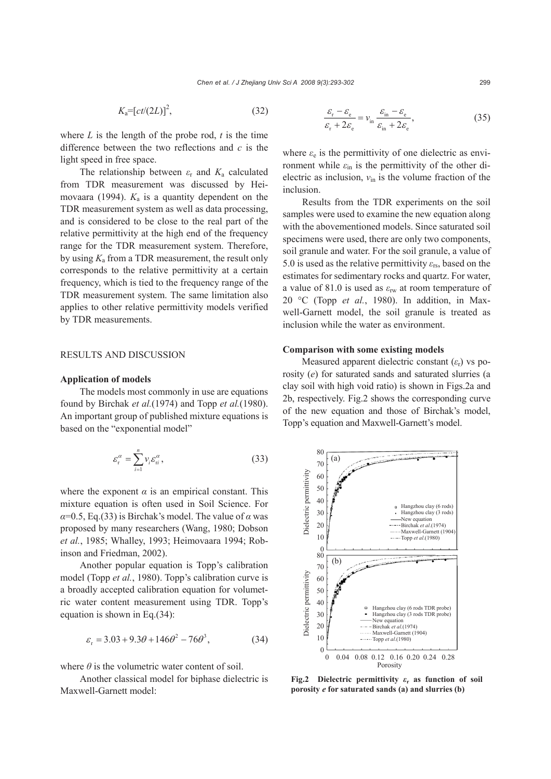$$
K_{\mathbf{a}} = \left[ ct/(2L)\right]^2,\tag{32}
$$

where  $L$  is the length of the probe rod,  $t$  is the time difference between the two reflections and *c* is the light speed in free space.

The relationship between *ε*r and *K*a calculated from TDR measurement was discussed by Heimovaara (1994).  $K_a$  is a quantity dependent on the TDR measurement system as well as data processing, and is considered to be close to the real part of the relative permittivity at the high end of the frequency range for the TDR measurement system. Therefore, by using *K*a from a TDR measurement, the result only corresponds to the relative permittivity at a certain frequency, which is tied to the frequency range of the TDR measurement system. The same limitation also applies to other relative permittivity models verified by TDR measurements.

## RESULTS AND DISCUSSION

#### **Application of models**

The models most commonly in use are equations found by Birchak *et al.*(1974) and Topp *et al.*(1980). An important group of published mixture equations is based on the "exponential model"

$$
\varepsilon_{\rm r}^{\alpha} = \sum_{i=1}^{n} v_i \varepsilon_{\rm ri}^{\alpha},\tag{33}
$$

where the exponent  $\alpha$  is an empirical constant. This mixture equation is often used in Soil Science. For  $\alpha$ =0.5, Eq.(33) is Birchak's model. The value of  $\alpha$  was proposed by many researchers (Wang, 1980; Dobson *et al.*, 1985; Whalley, 1993; Heimovaara 1994; Robinson and Friedman, 2002).

Another popular equation is Topp's calibration model (Topp *et al.*, 1980). Topp's calibration curve is a broadly accepted calibration equation for volumetric water content measurement using TDR. Topp's equation is shown in Eq.(34):

$$
\varepsilon_{\rm r} = 3.03 + 9.3\theta + 146\theta^2 - 76\theta^3,\tag{34}
$$

where  $\theta$  is the volumetric water content of soil.

Another classical model for biphase dielectric is Maxwell-Garnett model:

$$
\frac{\varepsilon_{\rm r} - \varepsilon_{\rm e}}{\varepsilon_{\rm r} + 2\varepsilon_{\rm e}} = \nu_{\rm in} \frac{\varepsilon_{\rm in} - \varepsilon_{\rm e}}{\varepsilon_{\rm in} + 2\varepsilon_{\rm e}},\tag{35}
$$

where  $\varepsilon_e$  is the permittivity of one dielectric as environment while  $\varepsilon_{\text{in}}$  is the permittivity of the other dielectric as inclusion, *ν*in is the volume fraction of the inclusion.

Results from the TDR experiments on the soil samples were used to examine the new equation along with the abovementioned models. Since saturated soil specimens were used, there are only two components, soil granule and water. For the soil granule, a value of 5.0 is used as the relative permittivity *ε*rs, based on the estimates for sedimentary rocks and quartz. For water, a value of 81.0 is used as *ε*rw at room temperature of 20 °C (Topp *et al.*, 1980). In addition, in Maxwell-Garnett model, the soil granule is treated as inclusion while the water as environment.

#### **Comparison with some existing models**

Measured apparent dielectric constant (*ε*r) vs porosity (*e*) for saturated sands and saturated slurries (a clay soil with high void ratio) is shown in Figs.2a and 2b, respectively. Fig.2 shows the corresponding curve of the new equation and those of Birchak's model, Topp's equation and Maxwell-Garnett's model.



**Fig.2 Dielectric permittivity** *ε***r as function of soil**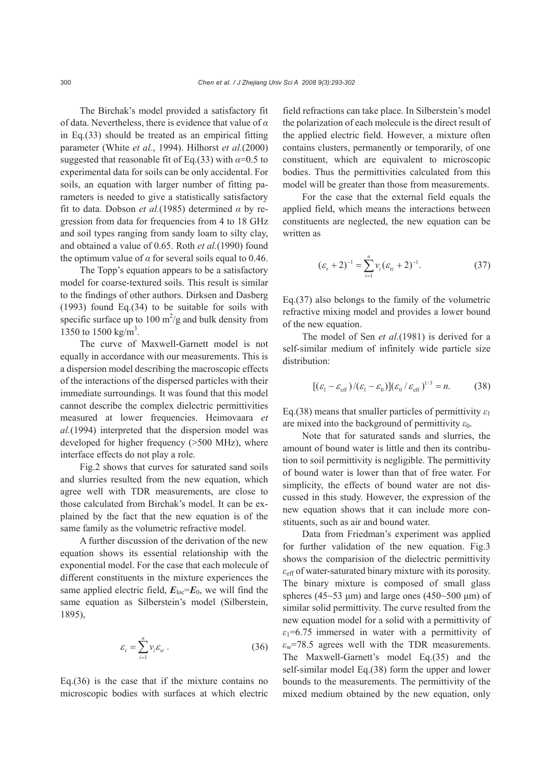The Birchak's model provided a satisfactory fit of data. Nevertheless, there is evidence that value of *α* in Eq.(33) should be treated as an empirical fitting parameter (White *et al.*, 1994). Hilhorst *et al.*(2000) suggested that reasonable fit of Eq.(33) with  $\alpha$ =0.5 to experimental data for soils can be only accidental. For soils, an equation with larger number of fitting parameters is needed to give a statistically satisfactory fit to data. Dobson *et al.*(1985) determined *α* by regression from data for frequencies from 4 to 18 GHz and soil types ranging from sandy loam to silty clay, and obtained a value of 0.65. Roth *et al.*(1990) found the optimum value of  $\alpha$  for several soils equal to 0.46.

The Topp's equation appears to be a satisfactory model for coarse-textured soils. This result is similar to the findings of other authors. Dirksen and Dasberg (1993) found Eq.(34) to be suitable for soils with specific surface up to 100  $\text{m}^2/\text{g}$  and bulk density from 1350 to 1500 kg/m<sup>3</sup>.

The curve of Maxwell-Garnett model is not equally in accordance with our measurements. This is a dispersion model describing the macroscopic effects of the interactions of the dispersed particles with their immediate surroundings. It was found that this model cannot describe the complex dielectric permittivities measured at lower frequencies. Heimovaara *et al.*(1994) interpreted that the dispersion model was developed for higher frequency (>500 MHz), where interface effects do not play a role.

Fig.2 shows that curves for saturated sand soils and slurries resulted from the new equation, which agree well with TDR measurements, are close to those calculated from Birchak's model. It can be explained by the fact that the new equation is of the same family as the volumetric refractive model.

A further discussion of the derivation of the new equation shows its essential relationship with the exponential model. For the case that each molecule of different constituents in the mixture experiences the same applied electric field,  $E_{\text{loc}}=E_0$ , we will find the same equation as Silberstein's model (Silberstein, 1895),

$$
\varepsilon_{\rm r} = \sum_{i=1}^{n} v_i \varepsilon_{\rm ri} \ . \tag{36}
$$

Eq.(36) is the case that if the mixture contains no microscopic bodies with surfaces at which electric field refractions can take place. In Silberstein's model the polarization of each molecule is the direct result of the applied electric field. However, a mixture often contains clusters, permanently or temporarily, of one constituent, which are equivalent to microscopic bodies. Thus the permittivities calculated from this model will be greater than those from measurements.

For the case that the external field equals the applied field, which means the interactions between constituents are neglected, the new equation can be written as

$$
(\varepsilon_{r}+2)^{-1} = \sum_{i=1}^{n} v_{i} (\varepsilon_{ri}+2)^{-1}.
$$
 (37)

Eq.(37) also belongs to the family of the volumetric refractive mixing model and provides a lower bound of the new equation.

The model of Sen *et al*.(1981) is derived for a self-similar medium of infinitely wide particle size distribution:

$$
[(\varepsilon_{1} - \varepsilon_{\text{eff}})/(\varepsilon_{1} - \varepsilon_{0})](\varepsilon_{0} / \varepsilon_{\text{eff}})^{1/3} = n. \tag{38}
$$

Eq.(38) means that smaller particles of permittivity *ε*<sup>1</sup> are mixed into the background of permittivity  $\varepsilon_0$ .

Note that for saturated sands and slurries, the amount of bound water is little and then its contribution to soil permittivity is negligible. The permittivity of bound water is lower than that of free water. For simplicity, the effects of bound water are not discussed in this study. However, the expression of the new equation shows that it can include more constituents, such as air and bound water.

Data from Friedman's experiment was applied for further validation of the new equation. Fig.3 shows the comparision of the dielectric permittivity *ε*eff of water-saturated binary mixture with its porosity. The binary mixture is composed of small glass spheres (45~53 μm) and large ones (450~500 μm) of similar solid permittivity. The curve resulted from the new equation model for a solid with a permittivity of  $\varepsilon_1$ =6.75 immersed in water with a permittivity of  $\varepsilon_{w}$ =78.5 agrees well with the TDR measurements. The Maxwell-Garnett's model Eq.(35) and the self-similar model Eq.(38) form the upper and lower bounds to the measurements. The permittivity of the mixed medium obtained by the new equation, only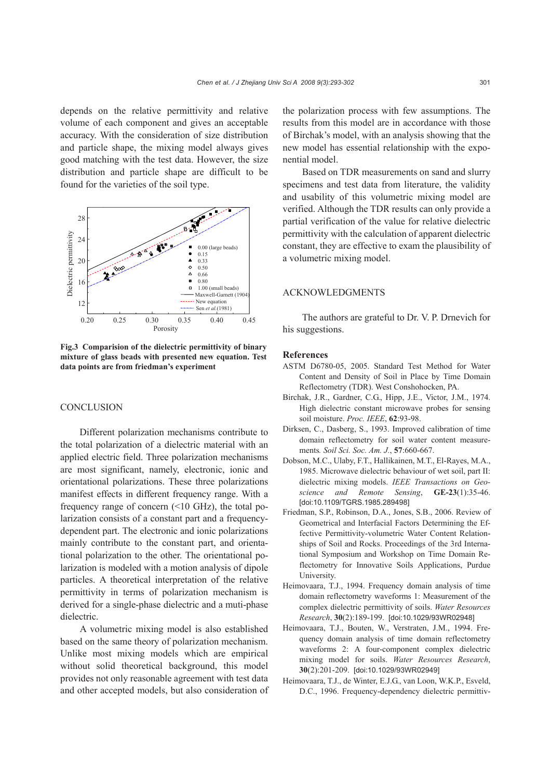depends on the relative permittivity and relative volume of each component and gives an acceptable accuracy. With the consideration of size distribution and particle shape, the mixing model always gives good matching with the test data. However, the size distribution and particle shape are difficult to be found for the varieties of the soil type.



**Fig.3 Comparision of the dielectric permittivity of binary mixture of glass beads with presented new equation. Test data points are from friedman's experiment**

#### **CONCLUSION**

Different polarization mechanisms contribute to the total polarization of a dielectric material with an applied electric field. Three polarization mechanisms are most significant, namely, electronic, ionic and orientational polarizations. These three polarizations manifest effects in different frequency range. With a frequency range of concern (<10 GHz), the total polarization consists of a constant part and a frequencydependent part. The electronic and ionic polarizations mainly contribute to the constant part, and orientational polarization to the other. The orientational polarization is modeled with a motion analysis of dipole particles. A theoretical interpretation of the relative permittivity in terms of polarization mechanism is derived for a single-phase dielectric and a muti-phase dielectric.

A volumetric mixing model is also established based on the same theory of polarization mechanism. Unlike most mixing models which are empirical without solid theoretical background, this model provides not only reasonable agreement with test data and other accepted models, but also consideration of the polarization process with few assumptions. The results from this model are in accordance with those of Birchak's model, with an analysis showing that the new model has essential relationship with the exponential model.

Based on TDR measurements on sand and slurry specimens and test data from literature, the validity and usability of this volumetric mixing model are verified. Although the TDR results can only provide a partial verification of the value for relative dielectric permittivity with the calculation of apparent dielectric constant, they are effective to exam the plausibility of a volumetric mixing model.

## ACKNOWLEDGMENTS

The authors are grateful to Dr. V. P. Drnevich for his suggestions.

#### **References**

- ASTM D6780-05, 2005. Standard Test Method for Water Content and Density of Soil in Place by Time Domain Reflectometry (TDR). West Conshohocken, PA.
- Birchak, J.R., Gardner, C.G., Hipp, J.E., Victor, J.M., 1974. High dielectric constant microwave probes for sensing soil moisture. *Proc. IEEE*, **62**:93-98.
- Dirksen, C., Dasberg, S., 1993. Improved calibration of time domain reflectometry for soil water content measurements*. Soil Sci. Soc. Am. J.*, **57**:660-667.
- Dobson, M.C., Ulaby, F.T., Hallikainen, M.T., El-Rayes, M.A., 1985. Microwave dielectric behaviour of wet soil, part II: dielectric mixing models. *IEEE Transactions on Geoscience and Remote Sensing*, **GE-23**(1):35-46. [doi:10.1109/TGRS.1985.289498]
- Friedman, S.P., Robinson, D.A., Jones, S.B., 2006. Review of Geometrical and Interfacial Factors Determining the Effective Permittivity-volumetric Water Content Relationships of Soil and Rocks. Proceedings of the 3rd International Symposium and Workshop on Time Domain Reflectometry for Innovative Soils Applications, Purdue University.
- Heimovaara, T.J., 1994. Frequency domain analysis of time domain reflectometry waveforms 1: Measurement of the complex dielectric permittivity of soils. *Water Resources Research*, **30**(2):189-199. [doi:10.1029/93WR02948]
- Heimovaara, T.J., Bouten, W., Verstraten, J.M., 1994. Frequency domain analysis of time domain reflectometry waveforms 2: A four-component complex dielectric mixing model for soils. *Water Resources Research*, **30**(2):201-209. [doi:10.1029/93WR02949]
- Heimovaara, T.J., de Winter, E.J.G., van Loon, W.K.P., Esveld, D.C., 1996. Frequency-dependency dielectric permittiv-